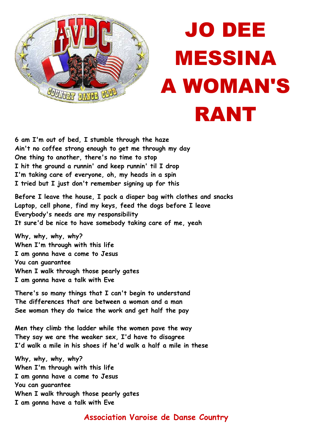

## JO DEE MESSINA A WOMAN'S RANT

**6 am I'm out of bed, I stumble through the haze Ain't no coffee strong enough to get me through my day One thing to another, there's no time to stop I hit the ground a runnin' and keep runnin' til I drop I'm taking care of everyone, oh, my heads in a spin I tried but I just don't remember signing up for this** 

**Before I leave the house, I pack a diaper bag with clothes and snacks Laptop, cell phone, find my keys, feed the dogs before I leave Everybody's needs are my responsibility It sure'd be nice to have somebody taking care of me, yeah** 

**Why, why, why, why? When I'm through with this life I am gonna have a come to Jesus You can guarantee When I walk through those pearly gates I am gonna have a talk with Eve** 

**There's so many things that I can't begin to understand The differences that are between a woman and a man See woman they do twice the work and get half the pay** 

**Men they climb the ladder while the women pave the way They say we are the weaker sex, I'd have to disagree I'd walk a mile in his shoes if he'd walk a half a mile in these** 

**Why, why, why, why? When I'm through with this life I am gonna have a come to Jesus You can guarantee When I walk through those pearly gates I am gonna have a talk with Eve** 

## **Association Varoise de Danse Country**